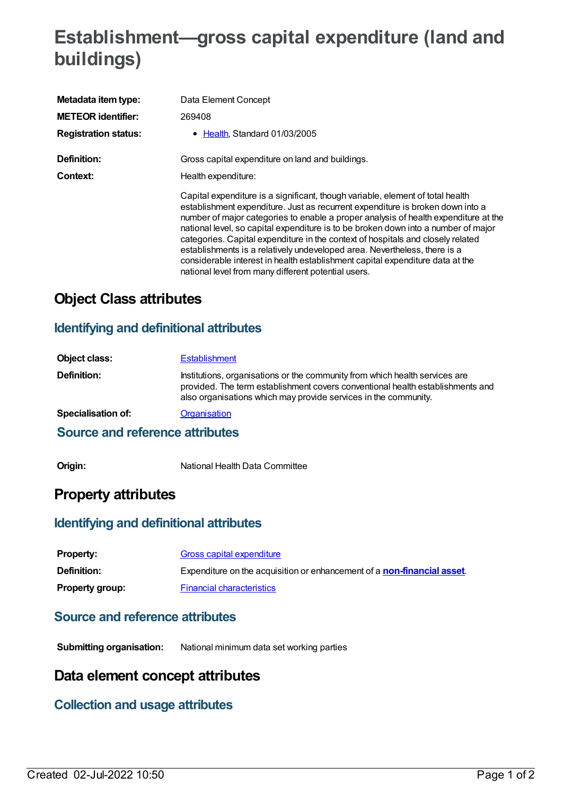# **Establishment—gross capital expenditure (land and buildings)**

| Metadata item type:         | Data Element Concept                                                                                                                                                                                                                                                                                                                                                                                                                                                                                                                                                                                                                                  |
|-----------------------------|-------------------------------------------------------------------------------------------------------------------------------------------------------------------------------------------------------------------------------------------------------------------------------------------------------------------------------------------------------------------------------------------------------------------------------------------------------------------------------------------------------------------------------------------------------------------------------------------------------------------------------------------------------|
| <b>METEOR identifier:</b>   | 269408                                                                                                                                                                                                                                                                                                                                                                                                                                                                                                                                                                                                                                                |
| <b>Registration status:</b> | • Health, Standard 01/03/2005                                                                                                                                                                                                                                                                                                                                                                                                                                                                                                                                                                                                                         |
| Definition:                 | Gross capital expenditure on land and buildings.                                                                                                                                                                                                                                                                                                                                                                                                                                                                                                                                                                                                      |
| Context:                    | Health expenditure:                                                                                                                                                                                                                                                                                                                                                                                                                                                                                                                                                                                                                                   |
|                             | Capital expenditure is a significant, though variable, element of total health<br>establishment expenditure. Just as recurrent expenditure is broken down into a<br>number of major categories to enable a proper analysis of health expenditure at the<br>national level, so capital expenditure is to be broken down into a number of major<br>categories. Capital expenditure in the context of hospitals and closely related<br>establishments is a relatively undeveloped area. Nevertheless, there is a<br>considerable interest in health establishment capital expenditure data at the<br>national level from many different potential users. |

## **Object Class attributes**

#### **Identifying and definitional attributes**

| Object class:      | <b>Establishment</b>                                                                                                                                                                                                             |
|--------------------|----------------------------------------------------------------------------------------------------------------------------------------------------------------------------------------------------------------------------------|
| <b>Definition:</b> | Institutions, organisations or the community from which health services are<br>provided. The term establishment covers conventional health establishments and<br>also organisations which may provide services in the community. |
| Specialisation of: | Organisation                                                                                                                                                                                                                     |

#### **Source and reference attributes**

**Origin:** National Health Data Committee

## **Property attributes**

#### **Identifying and definitional attributes**

| <b>Property:</b>       | Gross capital expenditure                                                       |
|------------------------|---------------------------------------------------------------------------------|
| Definition:            | Expenditure on the acquisition or enhancement of a <b>non-financial asset</b> . |
| <b>Property group:</b> | <b>Financial characteristics</b>                                                |

#### **Source and reference attributes**

**Submitting organisation:** National minimum data set working parties

## **Data element concept attributes**

#### **Collection and usage attributes**